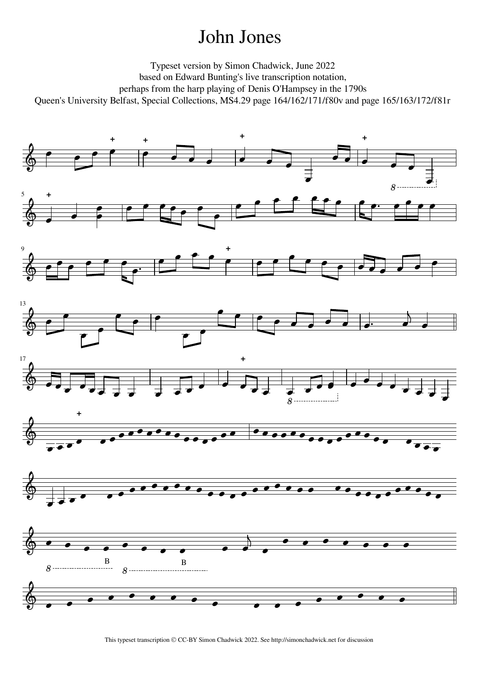## John Jones

Typeset version by Simon Chadwick, June 2022 based on Edward Bunting's live transcription notation, perhaps from the harp playing of Denis O'Hampsey in the 1790s Queen's University Belfast, Special Collections, MS4.29 page 164/162/171/f80v and page 165/163/172/f81r